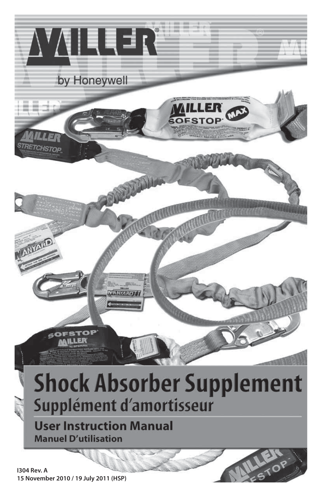

**15 November 2010 / 19 July 2011 (HSP)**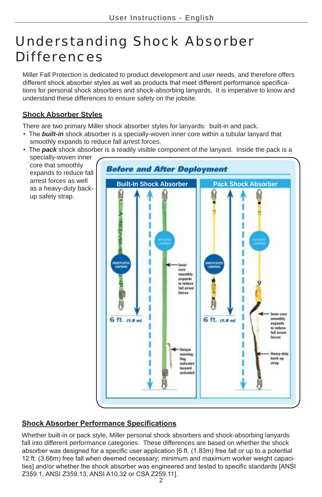# Understanding Shock Absorber Differences

Miller Fall Protection is dedicated to product development and user needs, and therefore offers different shock absorber styles as well as products that meet different performance specifications for personal shock absorbers and shock-absorbing lanyards. It is imperative to know and understand these differences to ensure safety on the jobsite.

## **Shock Absorber Styles**

There are two primary Miller shock absorber styles for lanyards: built-in and pack.

- The **built-in** shock absorber is a specially-woven inner core within a tubular lanyard that smoothly expands to reduce fall arrest forces.
- The **pack** shock absorber is a readily visible component of the lanyard. Inside the pack is a specially-woven inner core that smoothly **Before and After Deployment** expands to reduce fall arrest forces as well **Built-In Shock Absorber Pack Shock Absorber** as a heavy-duty backup safety strap. **MPGRY**<br>Germany cors smoothly expands to reduce fall arrest farces

**IF COFE** 

smoothly expands to reduce fall arrest forces

Heavy-duty back-su

strap

6 ft. (1.8 m)

Joique warning

indicates lampard

flag

# **Shock Absorber Performance Specifications**

6 ft. (1.8 m)

Whether built-in or pack style, Miller personal shock absorbers and shock-absorbing lanyards fall into different performance categories. These differences are based on whether the shock absorber was designed for a specific user application [6 ft. (1.83m) free fall or up to a potential 12 ft. (3.66m) free fall when deemed necessary; minimum and maximum worker weight capacities] and/or whether the shock absorber was engineered and tested to specific standards [ANSI Z359.1, ANSI Z359.13, ANSI A10.32 or CSA Z259.111.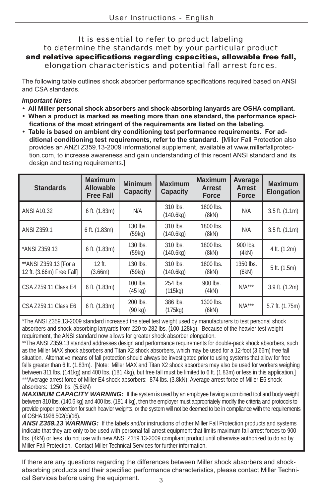#### It is essential to refer to product labeling to determine the standards met by your particular product and relative specifications regarding capacities, allowable free fall, elongation characteristics and potential fall arrest forces.

The following table outlines shock absorber performance specifications required based on ANSI and CSA standards.

#### *Important Notes*

- **All Miller personal shock absorbers and shock-absorbing lanyards are OSHA compliant.**
- **When a product is marked as meeting more than one standard, the performance speci**fications of the most stringent of the requirements are listed on the labeling.
- **•** Table is based on ambient dry conditioning test performance requirements. For additional conditioning test requirements, refer to the standard. [Miller Fall Protection also provides an ANZI Z359.13-2009 informational supplement, available at www.millerfallprotection.com, to increase awareness and gain understanding of this recent ANSI standard and its design and testing requirements.]

| <b>Standards</b>                                    | <b>Maximum</b><br><b>Allowable</b><br><b>Free Fall</b> | <b>Minimum</b><br><b>Capacity</b> | <b>Maximum</b><br><b>Capacity</b> | <b>Maximum</b><br><b>Arrest</b><br><b>Force</b> | Average<br><b>Arrest</b><br>Force | <b>Maximum</b><br><b>Elongation</b> |
|-----------------------------------------------------|--------------------------------------------------------|-----------------------------------|-----------------------------------|-------------------------------------------------|-----------------------------------|-------------------------------------|
| <b>ANSI A10.32</b>                                  | 6 ft. (1.83m)                                          | N/A                               | 310 lbs.<br>(140.6kg)             | 1800 lbs.<br>(8kN)                              | N/A                               | $3.5$ ft. $(1.1m)$                  |
| ANSI Z359.1                                         | 6 ft. (1.83m)                                          | 130 lbs.<br>(59kg)                | 310 lbs.<br>(140.6kg)             | 1800 lbs.<br>(8kN)                              | N/A                               | $3.5$ ft. $(1.1m)$                  |
| *ANSI Z359.13                                       | $6$ ft. $(1.83m)$                                      | $130$ lbs.<br>(59kg)              | 310 lbs.<br>(140.6kg)             | 1800 lbs.<br>(8kN)                              | $900$ lbs.<br>(4kN)               | 4 ft. (1.2m)                        |
| ** ANSI Z359.13 [For a<br>12 ft. (3.66m) Free Fall] | $12$ ft.<br>(3.66m)                                    | $130$ lbs.<br>(59kg)              | 310 lbs.<br>(140.6kg)             | 1800 lbs.<br>(8kN)                              | 1350 lbs.<br>(6kN)                | 5 ft. (1.5m)                        |
| CSA Z259.11 Class E4                                | 6 ft. (1.83m)                                          | 100 lbs.<br>$(45 \text{ kg})$     | 254 lbs.<br>(115kg)               | 900 lbs.<br>(4kN)                               | $N/A***$                          | 3.9 ft. (1.2m)                      |
| CSA Z259.11 Class E6                                | 6 ft. (1.83m)                                          | 200 lbs.<br>$(90 \text{ kg})$     | 386 lbs.<br>(175kg)               | 1300 lbs.<br>(6kN)                              | $N/A***$                          | 5.7 ft. (1.75m)                     |

\*The ANSI Z359.13-2009 standard increased the steel test weight used by manufacturers to test personal shock absorbers and shock-absorbing lanyards from 220 to 282 lbs. (100-128kg). Because of the heavier test weight requirement, the ANSI standard now allows for greater shock absorber elongation.

\*\*The ANSI Z359.13 standard addresses design and performance requirements for double-pack shock absorbers, such as the Miller MAX shock absorbers and Titan X2 shock absorbers, which may be used for a 12-foot (3.66m) free fall situation. Alternative means of fall protection should always be investigated prior to using systems that allow for free falls greater than 6 ft. (1.83m). [Note: Miller MAX and Titan X2 shock absorbers may also be used for workers weighing between 311 lbs. (141kg) and 400 lbs. (181.4kg), but free fall must be limited to 6 ft. (1.83m) or less in this application.] \*\*\*Average arrest force of Miller E4 shock absorbers: 874 lbs. (3.8kN); Average arrest force of Miller E6 shock absorbers: 1250 lbs. (5.6kN)

*MAXIMUM CAPACITY WARNING:* If the system is used by an employee having a combined tool and body weight between 310 lbs. (140.6 kg) and 400 lbs. (181.4 kg), then the employer must appropriately modify the criteria and protocols to provide proper protection for such heavier weights, or the system will not be deemed to be in compliance with the requirements of OSHA 1926.502(d)(16).

*ANSI Z359.13 WARNING:* If the labels and/or instructions of other Miller Fall Protection products and systems indicate that they are only to be used with personal fall arrest equipment that limits maximum fall arrest forces to 900 lbs. (4kN) or less, do not use with new ANSI Z359.13-2009 compliant product until otherwise authorized to do so by Miller Fall Protection. Contact Miller Technical Services for further information.

 $\mathbf{z}$ If there are any questions regarding the differences between Miller shock absorbers and shockabsorbing products and their specified performance characteristics, please contact Miller Technical Services before using the equipment.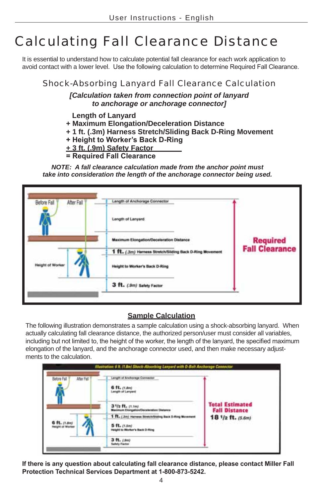# Calculating Fall Clearance Distance

It is essential to understand how to calculate potential fall clearance for each work application to avoid contact with a lower level. Use the following calculation to determine Required Fall Clearance.

# Shock-Absorbing Lanyard Fall Clearance Calculation

*[Calculation taken from connection point of lanyard to anchorage or anchorage connector]*

- **Length of Lanyard**
- **+ Maximum Elongation/Deceleration Distance**
- **+ 1 ft. (.3m) Harness Stretch/Sliding Back D-Ring Movement**
- **+ Height to Worker's Back D-Ring**
- **+ 3 ft. (.9m) Safety Factor**
- **= Required Fall Clearance**

*NOTE: A fall clearance calculation made from the anchor point must take into consideration the length of the anchorage connector being used.*

| Before Fall<br>After Fall | Length of Anchorage Connector                                                                      |                                    |
|---------------------------|----------------------------------------------------------------------------------------------------|------------------------------------|
|                           | Length of Lanyard                                                                                  |                                    |
|                           | <b>Maximum Elongation/Deceleration Distance</b><br>a state of the state of the control of the con- | <b>Required<br/>Fall Clearance</b> |
| Height of Worker          | 1 ft. (.3m) Harness Stretch/Sliding Back D-Ring Movement.                                          |                                    |
|                           | Height to Worker's Back D-Ring                                                                     |                                    |
|                           | 3 ft. (.9m) Safety Factor                                                                          |                                    |

#### **Sample Calculation**

The following illustration demonstrates a sample calculation using a shock-absorbing lanyard. When actually calculating fall clearance distance, the authorized person/user must consider all variables, including but not limited to, the height of the worker, the length of the lanyard, the specified maximum elongation of the lanyard, and the anchorage connector used, and then make necessary adjustments to the calculation.



If there is any question about calculating fall clearance distance, please contact Miller Fall **Protection Technical Services Department at 1-800-873-5242.**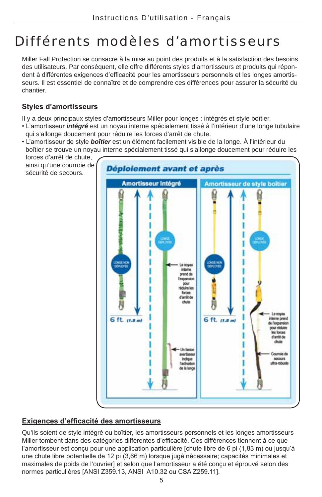# Différents modèles d'amortisseurs

Miller Fall Protection se consacre à la mise au point des produits et à la satisfaction des besoins des utilisateurs. Par conséquent, elle offre différents styles d'amortisseurs et produits qui répondent à différentes exigences d'efficacité pour les amortisseurs personnels et les longes amortisseurs. Il est essentiel de connaître et de comprendre ces différences pour assurer la sécurité du chantier.

## **Styles d'amortisseurs**

sécurité de secours.

Il y a deux principaux styles d'amortisseurs Miller pour longes : intégrés et style boîtier.

- L'amortisseur *intégré* est un noyau interne spécialement tissé à l'intérieur d'une longe tubulaire qui s'allonge doucement pour réduire les forces d'arrêt de chute.
- L'amortisseur de style *boîtier* est un élément facilement visible de la longe. À l'intérieur du boîtier se trouve un noyau interne spécialement tissé qui s'allonge doucement pour réduire les forces d'arrêt de chute,

ainsi qu'une courroie de Déploiement avant et après Amortisseur intégré Amortisseur de style boitier **DINGE NOR**<br>DEPREDITE **DAGE NCR**<br>Kolonist Le novai inter prend de l'expansion pour réduire les **Bonnes** d'ambt de chute Le noyau 6 ft. (1.8 m) 6 ft. (f.s.m) interne prend de l'expansion pour réduire les forces d'ambt de dute Un famig avertisses. Courrole de indigun **MOONITS** Ara-mhuste **Tachvator** de la long

## **Exigences d'efficacité des amortisseurs**

Qu'ils soient de style intégré ou boîtier, les amortisseurs personnels et les longes amortisseurs Miller tombent dans des catégories différentes d'efficacité. Ces différences tiennent à ce que l'amortisseur est conçu pour une application particulière [chute libre de 6 pi (1,83 m) ou jusqu'à une chute libre potentielle de 12 pi (3,66 m) lorsque jugé nécessaire; capacités minimales et maximales de poids de l'ouvrier] et selon que l'amortisseur a été conçu et éprouvé selon des normes particulières [ANSI Z359.13, ANSI A10.32 ou CSA Z259.11].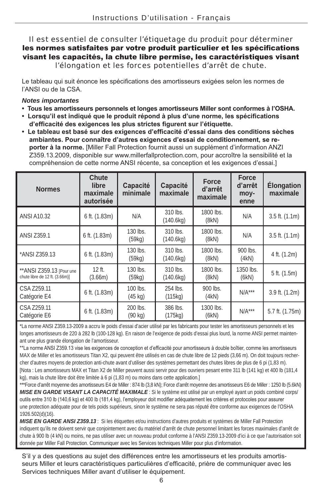### Il est essentiel de consulter l'étiquetage du produit pour déterminer les normes satisfaites par votre produit particulier et les spécifications visant les capacités, la chute libre permise, les caractéristiques visant l'élongation et les forces potentielles d'arrêt de chute.

Le tableau qui suit énonce les spécifications des amortisseurs exigées selon les normes de l'ANSI ou de la CSA.

#### *Notes importantes*

- **Tous les amortisseurs personnels et longes amortisseurs Miller sont conformes à l'OSHA.**
- **·** Lorsqu'il est indiqué que le produit répond à plus d'une norme, les spécifications d'efficacité des exigences les plus strictes figurent sur l'étiquette.
- **Le tableau est basé sur des exigences d'efficacité d'essai dans des conditions sèches** ambiantes. Pour connaître d'autres exigences d'essai de conditionnement, se re**porter à la norme.** [Miller Fall Protection fournit aussi un supplément d'information ANZI Z359.13.2009, disponible sur www.millerfallprotection.com, pour accroître la sensibilité et la compréhension de cette norme ANSI récente, sa conception et les exigences d'essai.]

| <b>Normes</b>                                               | <b>Chute</b><br>libre<br>maximale<br>autorisée | <b>Capacité</b><br>minimale   | <b>Capacité</b><br>maximale | <b>Force</b><br>d'arrêt<br>maximale | <b>Force</b><br>d'arrêt<br>moy-<br>enne | <b>Élongation</b><br>maximale |
|-------------------------------------------------------------|------------------------------------------------|-------------------------------|-----------------------------|-------------------------------------|-----------------------------------------|-------------------------------|
| <b>ANSI A10.32</b>                                          | 6 ft. (1.83m)                                  | N/A                           | 310 lbs.<br>(140.6kg)       | 1800 lbs.<br>(8kN)                  | N/A                                     | $3.5$ ft. $(1.1m)$            |
| <b>ANSI Z359.1</b>                                          | 6 ft. (1.83m)                                  | 130 lbs.<br>(59kg)            | 310 lbs.<br>(140.6kg)       | 1800 lbs.<br>(8kN)                  | N/A                                     | $3.5$ ft. $(1.1m)$            |
| *ANSI Z359.13                                               | 6 ft. (1.83m)                                  | 130 lbs.<br>(59kq)            | 310 lbs.<br>(140.6kg)       | 1800 lbs.<br>(8kN)                  | 900 lbs.<br>(4kN)                       | 4 ft. (1.2m)                  |
| ** ANSI Z359.13 [Pour une<br>chute libre de 12 ft. (3.66m)] | $12$ ft.<br>(3.66m)                            | $130$ lbs.<br>(59kg)          | 310 lbs.<br>(140.6kg)       | 1800 lbs.<br>(8kN)                  | 1350 lbs.<br>(6kN)                      | 5 ft. (1.5m)                  |
| CSA Z259.11<br>Catégorie E4                                 | 6 ft. (1.83m)                                  | 100 lbs.<br>$(45 \text{ kg})$ | 254 lbs.<br>(115kg)         | $900$ lbs.<br>(4kN)                 | $N/A***$                                | 3.9 ft. (1.2m)                |
| CSA Z259.11<br>Catégorie E6                                 | 6 ft. (1.83m)                                  | 200 lbs.<br>$(90 \text{ kg})$ | 386 lbs.<br>(175kg)         | 1300 lbs.<br>(6kN)                  | $N/A***$                                | 5.7 ft. (1.75m)               |

\*La norme ANSI Z359.13-2009 a accru le poids d'essai d'acier utilisé par les fabricants pour tester les amortisseurs personnels et les longes amortisseurs de 220 à 282 lb (100-128 kg). En raison de l'exigence de poids d'essai plus lourd, la norme ANSI permet maintenant une plus grande élongation de l'amortisseur.

\*\*La norme ANSI Z359.13 vise les exigences de conception et d'efficacité pour amortisseurs à double boîtier, comme les amortisseurs MAX de Miller et les amortisseurs Titan X2, qui peuvent être utilisés en cas de chute libre de 12 pieds (3,66 m). On doit toujours rechercher d'autres moyens de protection anti-chute avant d'utiliser des systèmes permettant des chutes libres de plus de 6 pi (1,83 m). [Nota : Les amortisseurs MAX et Titan X2 de Miller peuvent aussi servir pour des ouvriers pesant entre 311 lb (141 kg) et 400 lb (181,4 kg), mais la chute libre doit être limitée à 6 pi (1,83 m) ou moins dans cette application.]

\*\*\*Force d'arrêt moyenne des amortisseurs E4 de Miller : 874 lb (3,8 kN); Force d'arrêt moyenne des amortisseurs E6 de Miller : 1250 lb (5.6kN) *MISE EN GARDE VISANT LA CAPACITÉ MAXIMALE* : Si le système est utilisé par un employé ayant un poids combiné corps/ outils entre 310 lb (140,6 kg) et 400 lb (181,4 kg), l'employeur doit modifier adéquatement les critères et protocoles pour assurer une protection adéquate pour de tels poids supérieurs, sinon le système ne sera pas réputé être conforme aux exigences de l'OSHA 1926.502(d)(16).

*MISE EN GARDE ANSI Z359.13* : Si les étiquettes et/ou instructions d'autres produits et systèmes de Miller Fall Protection indiquent qu'ils ne doivent servir que conjointement avec du matériel d'arrêt de chute personnel limitant les forces maximales d'arrêt de chute à 900 lb (4 kN) ou moins, ne pas utiliser avec un nouveau produit conforme à l'ANSI Z359.13-2009 d'ici à ce que l'autorisation soit donnée par Miller Fall Protection. Communiquer avec les Services techniques Miller pour plus d'information.

S'il y a des questions au sujet des différences entre les amortisseurs et les produits amortisseurs Miller et leurs caractéristiques particulières d'efficacité, prière de communiquer avec les Services techniques Miller avant d'utiliser le équipement.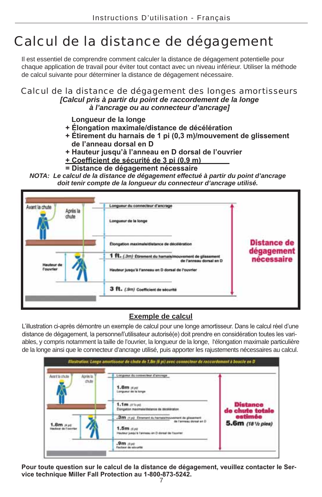# Calcul de la distance de dégagement

Il est essentiel de comprendre comment calculer la distance de dégagement potentielle pour chaque application de travail pour éviter tout contact avec un niveau inférieur. Utiliser la méthode de calcul suivante pour déterminer la distance de dégagement nécessaire.

#### Calcul de la distance de dégagement des longes amortisseurs *[Calcul pris à partir du point de raccordement de la longe à l'ancrage ou au connecteur d'ancrage]*

- **Longueur de la longe**
- $+$  Élongation maximale/distance de décélération
- + Étirement du harnais de 1 pi (0,3 m)/mouvement de glissement de l'anneau dorsal en D
- **+ Hauteur jusqu'à l'anneau en D dorsal de l'ouvrier**
- $+$  Coefficient de sécurité de 3 pi (0,9 m)
- **= Distance de dégagement nécessaire**

*NOTA: Le calcul de la distance de dégagement effectué à partir du point d'ancrage doit tenir compte de la longueur du connecteur d'ancrage utilisé.*

| Après la<br>chute                     | Longueur du connecteur d'ancrage<br>Longueur de la longe                                                                                |                                  |
|---------------------------------------|-----------------------------------------------------------------------------------------------------------------------------------------|----------------------------------|
|                                       | Elongation maximale/distance de décélération                                                                                            | <b>Distance de</b><br>dégagement |
| <b>Hauteur</b> de<br><b>l'ouvrier</b> | 1 ft. (.3m) Étirement du hamais/mouvement de glissement<br>de l'anneau dorsal en D<br>Hauteur jusqu'à l'anneau en D dorsal de l'ouvrier | nécessaire                       |
|                                       | 3 ft. (.9m) Coefficient de sécurité                                                                                                     |                                  |

## **Exemple de calcul**

L'illustration ci-après démontre un exemple de calcul pour une longe amortisseur. Dans le calcul réel d'une distance de dégagement, la personne/l'utilisateur autorisé(e) doit prendre en considération toutes les variables, y compris notamment la taille de l'ouvrier, la longueur de la longe, l'élongation maximale particulière de la longe ainsi que le connecteur d'ancrage utilisé, puis apporter les rajustements nécessaires au calcul.

|                                     |                                                      | Illustration: Longo amortisseur de chies de 1,8m (6 pl) avec connecteur de raccordement à boucle en D |                             |
|-------------------------------------|------------------------------------------------------|-------------------------------------------------------------------------------------------------------|-----------------------------|
| Anritistute                         | Apriles for                                          | Longueur du connecteur d'ancrage                                                                      |                             |
|                                     | chái<br>ants                                         | 1.8m mpt<br>Longueur de la longe                                                                      |                             |
|                                     |                                                      | 1.1m atopi<br>Elengation maximala@atanza da Stoklárgicon                                              | Distance<br>de chute totale |
| $1.8m$ $\mu$<br>Hadest de l'ouvrier | :3m (1 p) Etrament du hartwaineuvernent de glasement | estimée                                                                                               |                             |
|                                     |                                                      | de l'annessi dorsal an D.<br>$1.5m$ dist<br>Hauteur juegu'à l'anneau en D donail de l'ouviller        | 5.6m (181/2 pies)           |
|                                     |                                                      | $.9m$ $\sigma$ al<br><b>Factour de sécurité</b>                                                       |                             |

7 Pour toute question sur le calcul de la distance de dégagement, veuillez contacter le Service technique Miller Fall Protection au 1-800-873-5242.